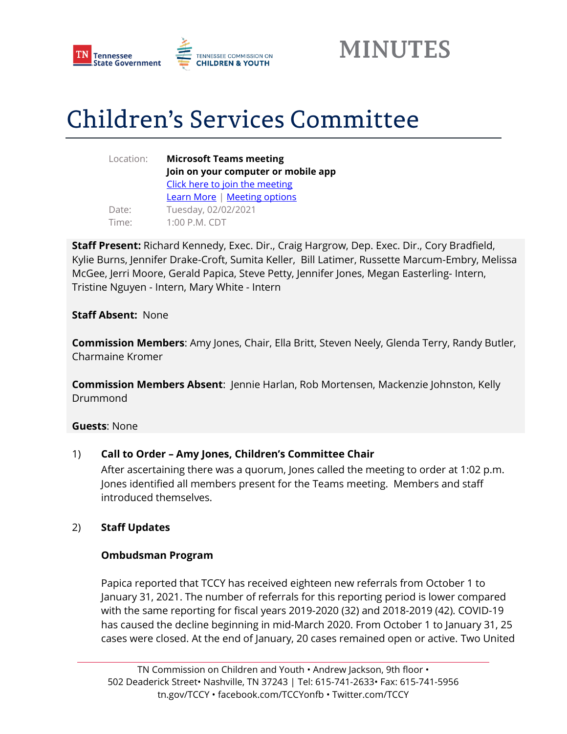



# **Children's Services Committee**

Location: **Microsoft Teams meeting Join on your computer or mobile app**  [Click here to join the meeting](https://teams.microsoft.com/l/meetup-join/19%3ameeting_ZWZlZjljODctNjRmOC00NTlkLTk4N2UtNTJjYWUyZmRhNjI3%40thread.v2/0?context=%7b%22Tid%22%3a%22f345bebf-0d71-4337-9281-24b941616c36%22%2c%22Oid%22%3a%22cb00c2e9-0a53-4678-a532-740bfe9712c5%22%7d) [Learn More](https://aka.ms/JoinTeamsMeeting) [| Meeting options](https://teams.microsoft.com/meetingOptions/?organizerId=cb00c2e9-0a53-4678-a532-740bfe9712c5&tenantId=f345bebf-0d71-4337-9281-24b941616c36&threadId=19_meeting_ZWZlZjljODctNjRmOC00NTlkLTk4N2UtNTJjYWUyZmRhNjI3@thread.v2&messageId=0&language=en-US) Date: Tuesday, 02/02/2021 Time: 1:00 P.M. CDT

**Staff Present:** Richard Kennedy, Exec. Dir., Craig Hargrow, Dep. Exec. Dir., Cory Bradfield, Kylie Burns, Jennifer Drake-Croft, Sumita Keller, Bill Latimer, Russette Marcum-Embry, Melissa McGee, Jerri Moore, Gerald Papica, Steve Petty, Jennifer Jones, Megan Easterling- Intern, Tristine Nguyen - Intern, Mary White - Intern

#### **Staff Absent:** None

**Commission Members**: Amy Jones, Chair, Ella Britt, Steven Neely, Glenda Terry, Randy Butler, Charmaine Kromer

**Commission Members Absent**: Jennie Harlan, Rob Mortensen, Mackenzie Johnston, Kelly Drummond

#### **Guests**: None

#### 1) **Call to Order – Amy Jones, Children's Committee Chair**

After ascertaining there was a quorum, Jones called the meeting to order at 1:02 p.m. Jones identified all members present for the Teams meeting. Members and staff introduced themselves.

#### 2) **Staff Updates**

#### **Ombudsman Program**

Papica reported that TCCY has received eighteen new referrals from October 1 to January 31, 2021. The number of referrals for this reporting period is lower compared with the same reporting for fiscal years 2019-2020 (32) and 2018-2019 (42). COVID-19 has caused the decline beginning in mid-March 2020. From October 1 to January 31, 25 cases were closed. At the end of January, 20 cases remained open or active. Two United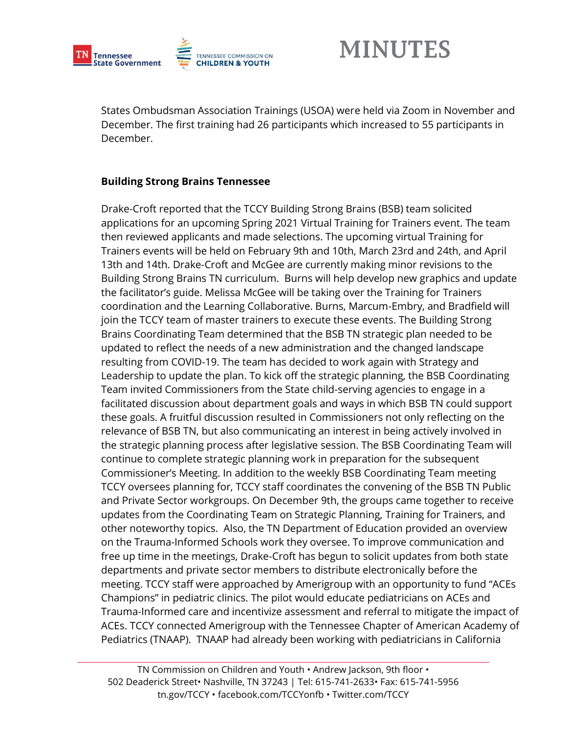

States Ombudsman Association Trainings (USOA) were held via Zoom in November and December. The first training had 26 participants which increased to 55 participants in December.

#### **Building Strong Brains Tennessee**

Drake-Croft reported that the TCCY Building Strong Brains (BSB) team solicited applications for an upcoming Spring 2021 Virtual Training for Trainers event. The team then reviewed applicants and made selections. The upcoming virtual Training for Trainers events will be held on February 9th and 10th, March 23rd and 24th, and April 13th and 14th. Drake-Croft and McGee are currently making minor revisions to the Building Strong Brains TN curriculum. Burns will help develop new graphics and update the facilitator's guide. Melissa McGee will be taking over the Training for Trainers coordination and the Learning Collaborative. Burns, Marcum-Embry, and Bradfield will join the TCCY team of master trainers to execute these events. The Building Strong Brains Coordinating Team determined that the BSB TN strategic plan needed to be updated to reflect the needs of a new administration and the changed landscape resulting from COVID-19. The team has decided to work again with Strategy and Leadership to update the plan. To kick off the strategic planning, the BSB Coordinating Team invited Commissioners from the State child-serving agencies to engage in a facilitated discussion about department goals and ways in which BSB TN could support these goals. A fruitful discussion resulted in Commissioners not only reflecting on the relevance of BSB TN, but also communicating an interest in being actively involved in the strategic planning process after legislative session. The BSB Coordinating Team will continue to complete strategic planning work in preparation for the subsequent Commissioner's Meeting. In addition to the weekly BSB Coordinating Team meeting TCCY oversees planning for, TCCY staff coordinates the convening of the BSB TN Public and Private Sector workgroups. On December 9th, the groups came together to receive updates from the Coordinating Team on Strategic Planning, Training for Trainers, and other noteworthy topics. Also, the TN Department of Education provided an overview on the Trauma-Informed Schools work they oversee. To improve communication and free up time in the meetings, Drake-Croft has begun to solicit updates from both state departments and private sector members to distribute electronically before the meeting. TCCY staff were approached by Amerigroup with an opportunity to fund "ACEs Champions" in pediatric clinics. The pilot would educate pediatricians on ACEs and Trauma-Informed care and incentivize assessment and referral to mitigate the impact of ACEs. TCCY connected Amerigroup with the Tennessee Chapter of American Academy of Pediatrics (TNAAP). TNAAP had already been working with pediatricians in California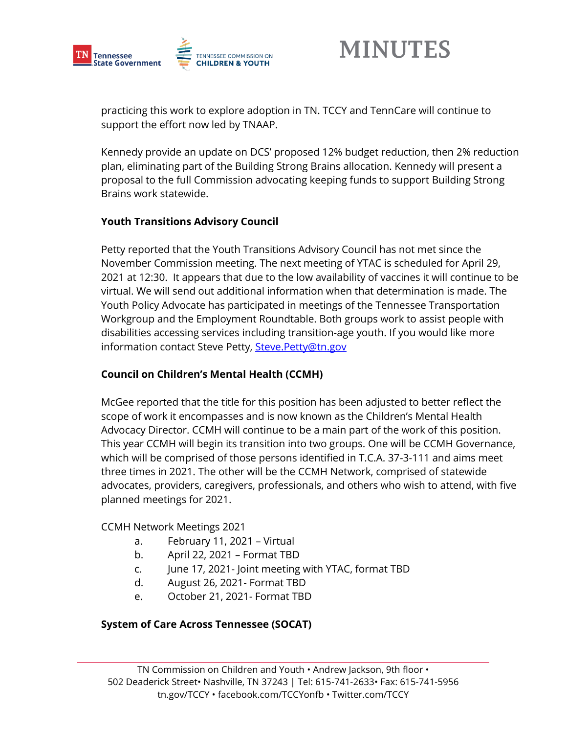

practicing this work to explore adoption in TN. TCCY and TennCare will continue to support the effort now led by TNAAP.

Kennedy provide an update on DCS' proposed 12% budget reduction, then 2% reduction plan, eliminating part of the Building Strong Brains allocation. Kennedy will present a proposal to the full Commission advocating keeping funds to support Building Strong Brains work statewide.

#### **Youth Transitions Advisory Council**

Petty reported that the Youth Transitions Advisory Council has not met since the November Commission meeting. The next meeting of YTAC is scheduled for April 29, 2021 at 12:30. It appears that due to the low availability of vaccines it will continue to be virtual. We will send out additional information when that determination is made. The Youth Policy Advocate has participated in meetings of the Tennessee Transportation Workgroup and the Employment Roundtable. Both groups work to assist people with disabilities accessing services including transition-age youth. If you would like more information contact Steve Petty, [Steve.Petty@tn.gov](mailto:Steve.Petty@tn.gov)

#### **Council on Children's Mental Health (CCMH)**

McGee reported that the title for this position has been adjusted to better reflect the scope of work it encompasses and is now known as the Children's Mental Health Advocacy Director. CCMH will continue to be a main part of the work of this position. This year CCMH will begin its transition into two groups. One will be CCMH Governance, which will be comprised of those persons identified in T.C.A. 37-3-111 and aims meet three times in 2021. The other will be the CCMH Network, comprised of statewide advocates, providers, caregivers, professionals, and others who wish to attend, with five planned meetings for 2021.

#### CCMH Network Meetings 2021

- a. February 11, 2021 Virtual
- b. April 22, 2021 Format TBD
- c. June 17, 2021- Joint meeting with YTAC, format TBD
- d. August 26, 2021- Format TBD
- e. October 21, 2021- Format TBD

#### **System of Care Across Tennessee (SOCAT)**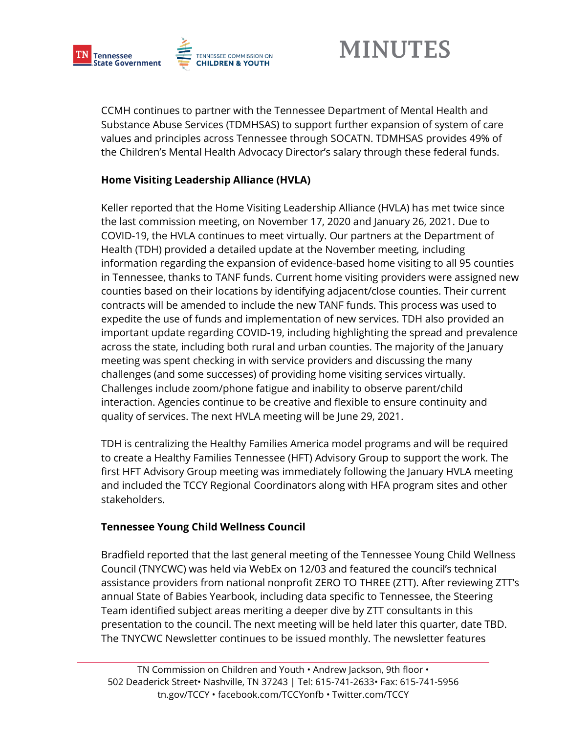

CCMH continues to partner with the Tennessee Department of Mental Health and Substance Abuse Services (TDMHSAS) to support further expansion of system of care values and principles across Tennessee through SOCATN. TDMHSAS provides 49% of the Children's Mental Health Advocacy Director's salary through these federal funds.

#### **Home Visiting Leadership Alliance (HVLA)**

Keller reported that the Home Visiting Leadership Alliance (HVLA) has met twice since the last commission meeting, on November 17, 2020 and January 26, 2021. Due to COVID-19, the HVLA continues to meet virtually. Our partners at the Department of Health (TDH) provided a detailed update at the November meeting, including information regarding the expansion of evidence-based home visiting to all 95 counties in Tennessee, thanks to TANF funds. Current home visiting providers were assigned new counties based on their locations by identifying adjacent/close counties. Their current contracts will be amended to include the new TANF funds. This process was used to expedite the use of funds and implementation of new services. TDH also provided an important update regarding COVID-19, including highlighting the spread and prevalence across the state, including both rural and urban counties. The majority of the January meeting was spent checking in with service providers and discussing the many challenges (and some successes) of providing home visiting services virtually. Challenges include zoom/phone fatigue and inability to observe parent/child interaction. Agencies continue to be creative and flexible to ensure continuity and quality of services. The next HVLA meeting will be June 29, 2021.

TDH is centralizing the Healthy Families America model programs and will be required to create a Healthy Families Tennessee (HFT) Advisory Group to support the work. The first HFT Advisory Group meeting was immediately following the January HVLA meeting and included the TCCY Regional Coordinators along with HFA program sites and other stakeholders.

#### **Tennessee Young Child Wellness Council**

Bradfield reported that the last general meeting of the Tennessee Young Child Wellness Council (TNYCWC) was held via WebEx on 12/03 and featured the council's technical assistance providers from national nonprofit ZERO TO THREE (ZTT). After reviewing ZTT's annual State of Babies Yearbook, including data specific to Tennessee, the Steering Team identified subject areas meriting a deeper dive by ZTT consultants in this presentation to the council. The next meeting will be held later this quarter, date TBD. The TNYCWC Newsletter continues to be issued monthly. The newsletter features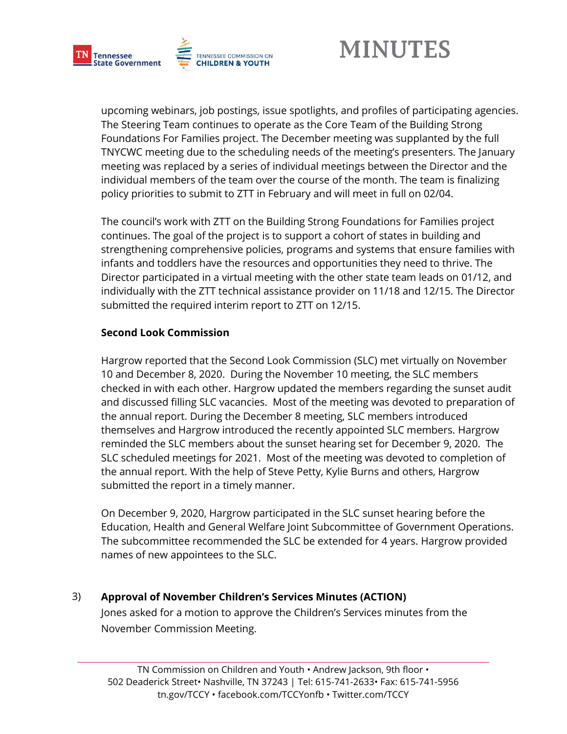

upcoming webinars, job postings, issue spotlights, and profiles of participating agencies. The Steering Team continues to operate as the Core Team of the Building Strong Foundations For Families project. The December meeting was supplanted by the full TNYCWC meeting due to the scheduling needs of the meeting's presenters. The January meeting was replaced by a series of individual meetings between the Director and the individual members of the team over the course of the month. The team is finalizing policy priorities to submit to ZTT in February and will meet in full on 02/04.

The council's work with ZTT on the Building Strong Foundations for Families project continues. The goal of the project is to support a cohort of states in building and strengthening comprehensive policies, programs and systems that ensure families with infants and toddlers have the resources and opportunities they need to thrive. The Director participated in a virtual meeting with the other state team leads on 01/12, and individually with the ZTT technical assistance provider on 11/18 and 12/15. The Director submitted the required interim report to ZTT on 12/15.

#### **Second Look Commission**

Hargrow reported that the Second Look Commission (SLC) met virtually on November 10 and December 8, 2020. During the November 10 meeting, the SLC members checked in with each other. Hargrow updated the members regarding the sunset audit and discussed filling SLC vacancies. Most of the meeting was devoted to preparation of the annual report. During the December 8 meeting, SLC members introduced themselves and Hargrow introduced the recently appointed SLC members. Hargrow reminded the SLC members about the sunset hearing set for December 9, 2020. The SLC scheduled meetings for 2021. Most of the meeting was devoted to completion of the annual report. With the help of Steve Petty, Kylie Burns and others, Hargrow submitted the report in a timely manner.

On December 9, 2020, Hargrow participated in the SLC sunset hearing before the Education, Health and General Welfare Joint Subcommittee of Government Operations. The subcommittee recommended the SLC be extended for 4 years. Hargrow provided names of new appointees to the SLC.

#### 3) **Approval of November Children's Services Minutes (ACTION)**

Jones asked for a motion to approve the Children's Services minutes from the November Commission Meeting.